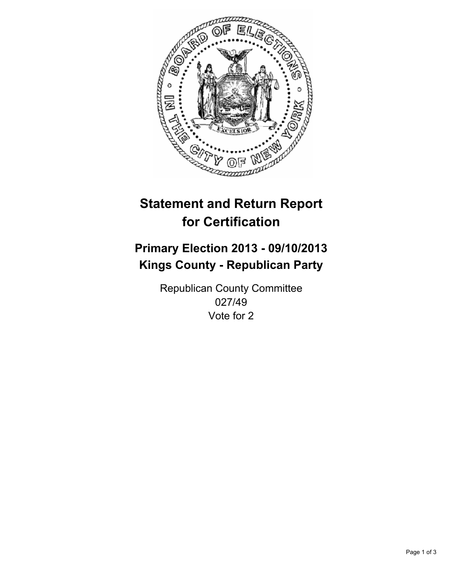

# **Statement and Return Report for Certification**

## **Primary Election 2013 - 09/10/2013 Kings County - Republican Party**

Republican County Committee 027/49 Vote for 2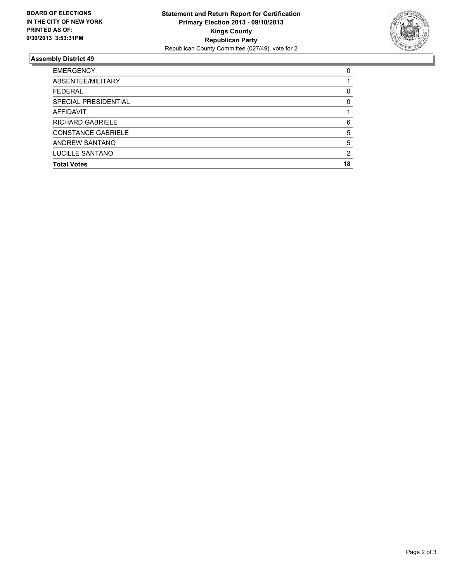

### **Assembly District 49**

| ABSENTEE/MILITARY<br><b>FEDERAL</b><br>SPECIAL PRESIDENTIAL<br>AFFIDAVIT<br><b>RICHARD GABRIELE</b><br><b>CONSTANCE GABRIELE</b><br>ANDREW SANTANO<br>LUCILLE SANTANO<br><b>Total Votes</b> | <b>EMERGENCY</b> | 0  |
|---------------------------------------------------------------------------------------------------------------------------------------------------------------------------------------------|------------------|----|
|                                                                                                                                                                                             |                  |    |
|                                                                                                                                                                                             |                  | 0  |
|                                                                                                                                                                                             |                  | 0  |
|                                                                                                                                                                                             |                  |    |
|                                                                                                                                                                                             |                  | 6  |
|                                                                                                                                                                                             |                  | 5  |
|                                                                                                                                                                                             |                  | 5  |
|                                                                                                                                                                                             |                  | 2  |
|                                                                                                                                                                                             |                  | 18 |